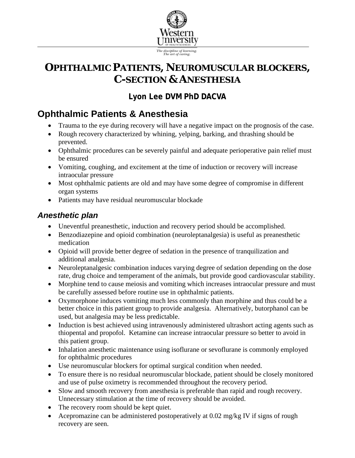

# **OPHTHALMIC PATIENTS, NEUROMUSCULAR BLOCKERS, C-SECTION & ANESTHESIA**

# **Lyon Lee DVM PhD DACVA**

# **Ophthalmic Patients & Anesthesia**

- Trauma to the eye during recovery will have a negative impact on the prognosis of the case.
- Rough recovery characterized by whining, yelping, barking, and thrashing should be prevented.
- Ophthalmic procedures can be severely painful and adequate perioperative pain relief must be ensured
- Vomiting, coughing, and excitement at the time of induction or recovery will increase intraocular pressure
- Most ophthalmic patients are old and may have some degree of compromise in different organ systems
- Patients may have residual neuromuscular blockade

# *Anesthetic plan*

- Uneventful preanesthetic, induction and recovery period should be accomplished.
- Benzodiazepine and opioid combination (neuroleptanalgesia) is useful as preanes the tic medication
- Opioid will provide better degree of sedation in the presence of tranquilization and additional analgesia.
- Neuroleptanalgesic combination induces varying degree of sedation depending on the dose rate, drug choice and temperament of the animals, but provide good cardiovascular stability.
- Morphine tend to cause meiosis and vomiting which increases intraocular pressure and must be carefully assessed before routine use in ophthalmic patients.
- Oxymorphone induces vomiting much less commonly than morphine and thus could be a better choice in this patient group to provide analgesia. Alternatively, butorphanol can be used, but analgesia may be less predictable.
- Induction is best achieved using intravenously administered ultrashort acting agents such as thiopental and propofol. Ketamine can increase intraocular pressure so better to avoid in this patient group.
- Inhalation anesthetic maintenance using isoflurane or sevoflurane is commonly employed for ophthalmic procedures
- Use neuromuscular blockers for optimal surgical condition when needed.
- To ensure there is no residual neuromuscular blockade, patient should be closely monitored and use of pulse oximetry is recommended throughout the recovery period.
- Slow and smooth recovery from anesthesia is preferable than rapid and rough recovery. Unnecessary stimulation at the time of recovery should be avoided.
- The recovery room should be kept quiet.
- Acepromazine can be administered postoperatively at 0.02 mg/kg IV if signs of rough recovery are seen.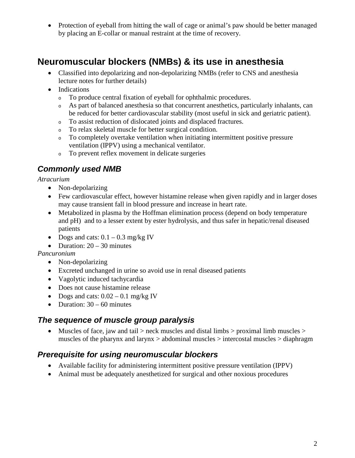• Protection of eyeball from hitting the wall of cage or animal's paw should be better managed by placing an E-collar or manual restraint at the time of recovery.

# **Neuromuscular blockers (NMBs) & its use in anesthesia**

- Classified into depolarizing and non-depolarizing NMBs (refer to CNS and anesthesia lecture notes for further details)
- Indications
	- <sup>o</sup> To produce central fixation of eyeball for ophthalmic procedures.
	- <sup>o</sup> As part of balanced anesthesia so that concurrent anesthetics, particularly inhalants, can be reduced for better cardiovascular stability (most useful in sick and geriatric patient).
	- <sup>o</sup> To assist reduction of dislocated joints and displaced fractures.
	- <sup>o</sup> To relax skeletal muscle for better surgical condition.
	- To completely overtake ventilation when initiating intermittent positive pressure ventilation (IPPV) using a mechanical ventilator.
	- <sup>o</sup> To prevent reflex movement in delicate surgeries

### *Commonly used NMB*

#### *Atracurium*

- Non-depolarizing
- Few cardiovascular effect, however histamine release when given rapidly and in larger doses may cause transient fall in blood pressure and increase in heart rate.
- Metabolized in plasma by the Hoffman elimination process (depend on body temperature and pH) and to a lesser extent by ester hydrolysis, and thus safer in hepatic/renal diseased patients
- Dogs and cats:  $0.1 0.3$  mg/kg IV
- Duration:  $20 30$  minutes

#### *Pancuronium*

- Non-depolarizing
- Excreted unchanged in urine so avoid use in renal diseased patients
- Vagolytic induced tachycardia
- Does not cause histamine release
- Dogs and cats:  $0.02 0.1$  mg/kg IV
- Duration:  $30 60$  minutes

#### *The sequence of muscle group paralysis*

• Muscles of face, jaw and tail  $>$  neck muscles and distal limbs  $>$  proximal limb muscles  $>$ muscles of the pharynx and larynx > abdominal muscles > intercostal muscles > diaphragm

#### *Prerequisite for using neuromuscular blockers*

- Available facility for administering intermittent positive pressure ventilation (IPPV)
- Animal must be adequately anesthetized for surgical and other noxious procedures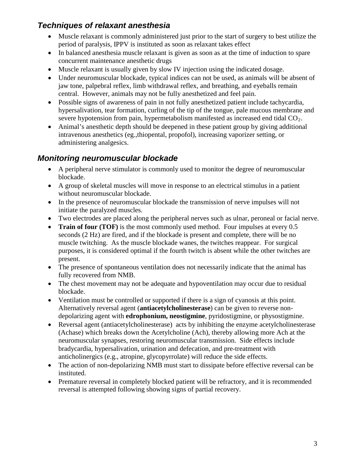### *Techniques of relaxant anesthesia*

- Muscle relaxant is commonly administered just prior to the start of surgery to best utilize the period of paralysis, IPPV is instituted as soon as relaxant takes effect
- In balanced anesthesia muscle relaxant is given as soon as at the time of induction to spare concurrent maintenance anesthetic drugs
- Muscle relaxant is usually given by slow IV injection using the indicated dosage.
- Under neuromuscular blockade, typical indices can not be used, as animals will be absent of jaw tone, palpebral reflex, limb withdrawal reflex, and breathing, and eyeballs remain central. However, animals may not be fully anesthetized and feel pain.
- Possible signs of awareness of pain in not fully anesthetized patient include tachycardia, hypersalivation, tear formation, curling of the tip of the tongue, pale mucous membrane and severe hypotension from pain, hypermetabolism manifested as increased end tidal  $CO<sub>2</sub>$ .
- Animal's anesthetic depth should be deepened in these patient group by giving additional intravenous anesthetics (eg.,thiopental, propofol), increasing vaporizer setting, or administering analgesics.

#### *Monitoring neuromuscular blockade*

- A peripheral nerve stimulator is commonly used to monitor the degree of neuromuscular blockade.
- A group of skeletal muscles will move in response to an electrical stimulus in a patient without neuromuscular blockade.
- In the presence of neuromuscular blockade the transmission of nerve impulses will not initiate the paralyzed muscles.
- Two electrodes are placed along the peripheral nerves such as ulnar, peroneal or facial nerve.
- **Train of four (TOF)** is the most commonly used method. Four impulses at every 0.5 seconds (2 Hz) are fired, and if the blockade is present and complete, there will be no muscle twitching. As the muscle blockade wanes, the twitches reappear. For surgical purposes, it is considered optimal if the fourth twitch is absent while the other twitches are present.
- The presence of spontaneous ventilation does not necessarily indicate that the animal has fully recovered from NMB.
- The chest movement may not be adequate and hypoventilation may occur due to residual blockade.
- Ventilation must be controlled or supported if there is a sign of cyanosis at this point. Alternatively reversal agent (**antiacetylcholinesterase**) can be given to reverse nondepolarizing agent with **edrophonium, neostigmine**, pyridostigmine, or physostigmine.
- Reversal agent (antiacetylcholinesterase) acts by inhibiting the enzyme acetylcholinesterase (Achase) which breaks down the Acetylcholine (Ach), thereby allowing more Ach at the neuromuscular synapses, restoring neuromuscular transmission. Side effects include bradycardia, hypersalivation, urination and defecation, and pre-treatment with anticholinergics (e.g., atropine, glycopyrrolate) will reduce the side effects.
- The action of non-depolarizing NMB must start to dissipate before effective reversal can be instituted.
- Premature reversal in completely blocked patient will be refractory, and it is recommended reversal is attempted following showing signs of partial recovery.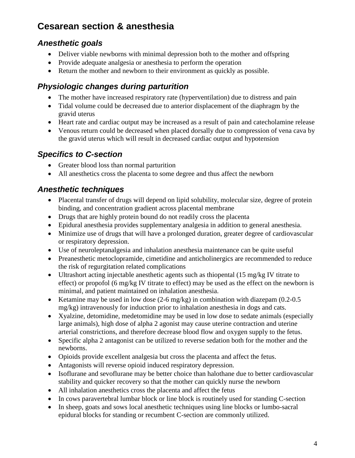# **Cesarean section & anesthesia**

### *Anesthetic goals*

- Deliver viable newborns with minimal depression both to the mother and offspring
- Provide adequate analgesia or anesthesia to perform the operation
- Return the mother and newborn to their environment as quickly as possible.

## *Physiologic changes during parturition*

- The mother have increased respiratory rate (hyperventilation) due to distress and pain
- Tidal volume could be decreased due to anterior displacement of the diaphragm by the gravid uterus
- Heart rate and cardiac output may be increased as a result of pain and catecholamine release
- Venous return could be decreased when placed dorsally due to compression of vena cava by the gravid uterus which will result in decreased cardiac output and hypotension

# *Specifics to C-section*

- Greater blood loss than normal parturition
- All anesthetics cross the placenta to some degree and thus affect the newborn

### *Anesthetic techniques*

- Placental transfer of drugs will depend on lipid solubility, molecular size, degree of protein binding, and concentration gradient across placental membrane
- Drugs that are highly protein bound do not readily cross the placenta
- Epidural anesthesia provides supplementary analgesia in addition to general anesthesia.
- Minimize use of drugs that will have a prolonged duration, greater degree of cardiovascular or respiratory depression.
- Use of neuroleptanalgesia and inhalation anesthesia maintenance can be quite useful
- Preanesthetic metoclopramide, cimetidine and anticholinergics are recommended to reduce the risk of regurgitation related complications
- Ultrashort acting injectable anesthetic agents such as thiopental (15 mg/kg IV titrate to effect) or propofol (6 mg/kg IV titrate to effect) may be used as the effect on the newborn is minimal, and patient maintained on inhalation anesthesia.
- Ketamine may be used in low dose  $(2-6 \text{ mg/kg})$  in combination with diazepam  $(0.2-0.5$ mg/kg) intravenously for induction prior to inhalation anesthesia in dogs and cats.
- Xyalzine, detomidine, medetomidine may be used in low dose to sedate animals (especially large animals), high dose of alpha 2 agonist may cause uterine contraction and uterine arterial constrictions, and therefore decrease blood flow and oxygen supply to the fetus.
- Specific alpha 2 antagonist can be utilized to reverse sedation both for the mother and the newborns.
- Opioids provide excellent analgesia but cross the placenta and affect the fetus.
- Antagonists will reverse opioid induced respiratory depression.
- Isoflurane and sevoflurane may be better choice than halothane due to better cardiovascular stability and quicker recovery so that the mother can quickly nurse the newborn
- All inhalation anesthetics cross the placenta and affect the fetus
- In cows paravertebral lumbar block or line block is routinely used for standing C-section
- In sheep, goats and sows local anesthetic techniques using line blocks or lumbo-sacral epidural blocks for standing or recumbent C-section are commonly utilized.